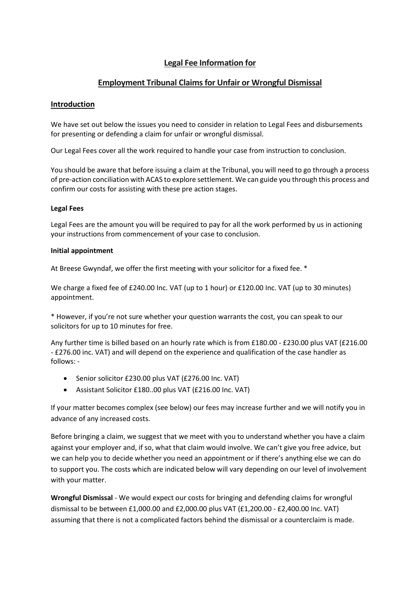# **Legal Fee Information for**

## **Employment Tribunal Claimsfor Unfair or Wrongful Dismissal**

### **Introduction**

We have set out below the issues you need to consider in relation to Legal Fees and disbursements for presenting or defending a claim for unfair or wrongful dismissal.

Our Legal Fees cover all the work required to handle your case from instruction to conclusion.

You should be aware that before issuing a claim at the Tribunal, you will need to go through a process of pre-action conciliation with ACAS to explore settlement. We can guide you through this process and confirm our costs for assisting with these pre action stages.

#### **Legal Fees**

Legal Fees are the amount you will be required to pay for all the work performed by us in actioning your instructions from commencement of your case to conclusion.

#### **Initial appointment**

At Breese Gwyndaf, we offer the first meeting with your solicitor for a fixed fee. \*

We charge a fixed fee of £240.00 Inc. VAT (up to 1 hour) or £120.00 Inc. VAT (up to 30 minutes) appointment.

\* However, if you're not sure whether your question warrants the cost, you can speak to our solicitors for up to 10 minutes for free.

Any further time is billed based on an hourly rate which is from £180.00 - £230.00 plus VAT (£216.00 - £276.00 inc. VAT) and will depend on the experience and qualification of the case handler as follows: -

- Senior solicitor £230.00 plus VAT (£276.00 Inc. VAT)
- Assistant Solicitor £180..00 plus VAT (£216.00 Inc. VAT)

If your matter becomes complex (see below) our fees may increase further and we will notify you in advance of any increased costs.

Before bringing a claim, we suggest that we meet with you to understand whether you have a claim against your employer and, if so, what that claim would involve. We can't give you free advice, but we can help you to decide whether you need an appointment or if there's anything else we can do to support you. The costs which are indicated below will vary depending on our level of involvement with your matter.

**Wrongful Dismissal** - We would expect our costs for bringing and defending claims for wrongful dismissal to be between £1,000.00 and £2,000.00 plus VAT (£1,200.00 - £2,400.00 Inc. VAT) assuming that there is not a complicated factors behind the dismissal or a counterclaim is made.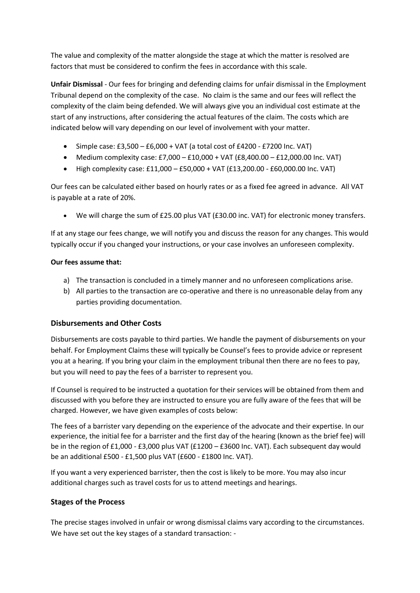The value and complexity of the matter alongside the stage at which the matter is resolved are factors that must be considered to confirm the fees in accordance with this scale.

**Unfair Dismissal** - Our fees for bringing and defending claims for unfair dismissal in the Employment Tribunal depend on the complexity of the case. No claim is the same and our fees will reflect the complexity of the claim being defended. We will always give you an individual cost estimate at the start of any instructions, after considering the actual features of the claim. The costs which are indicated below will vary depending on our level of involvement with your matter.

- Simple case:  $£3,500 £6,000 + VAT$  (a total cost of  $£4200 £7200$  Inc. VAT)
- Medium complexity case: £7,000 £10,000 + VAT (£8,400.00 £12,000.00 Inc. VAT)
- High complexity case: £11,000 £50,000 + VAT (£13,200.00 £60,000.00 Inc. VAT)

Our fees can be calculated either based on hourly rates or as a fixed fee agreed in advance. All VAT is payable at a rate of 20%.

• We will charge the sum of £25.00 plus VAT (£30.00 inc. VAT) for electronic money transfers.

If at any stage our fees change, we will notify you and discuss the reason for any changes. This would typically occur if you changed your instructions, or your case involves an unforeseen complexity.

#### **Our fees assume that:**

- a) The transaction is concluded in a timely manner and no unforeseen complications arise.
- b) All parties to the transaction are co-operative and there is no unreasonable delay from any parties providing documentation.

### **Disbursements and Other Costs**

Disbursements are costs payable to third parties. We handle the payment of disbursements on your behalf. For Employment Claims these will typically be Counsel's fees to provide advice or represent you at a hearing. If you bring your claim in the employment tribunal then there are no fees to pay, but you will need to pay the fees of a barrister to represent you.

If Counsel is required to be instructed a quotation for their services will be obtained from them and discussed with you before they are instructed to ensure you are fully aware of the fees that will be charged. However, we have given examples of costs below:

The fees of a barrister vary depending on the experience of the advocate and their expertise. In our experience, the initial fee for a barrister and the first day of the hearing (known as the brief fee) will be in the region of £1,000 - £3,000 plus VAT (£1200 – £3600 Inc. VAT). Each subsequent day would be an additional £500 - £1,500 plus VAT (£600 - £1800 Inc. VAT).

If you want a very experienced barrister, then the cost is likely to be more. You may also incur additional charges such as travel costs for us to attend meetings and hearings.

## **Stages of the Process**

The precise stages involved in unfair or wrong dismissal claims vary according to the circumstances. We have set out the key stages of a standard transaction: -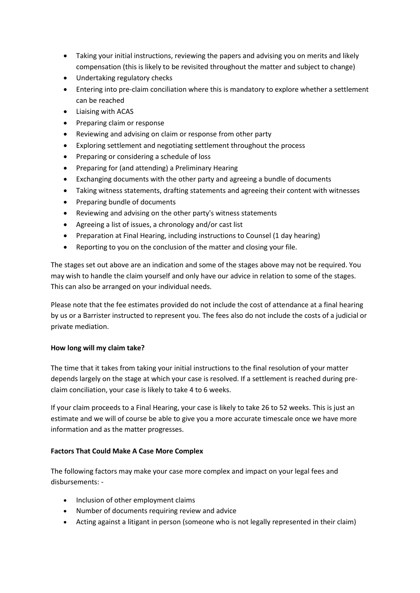- Taking your initial instructions, reviewing the papers and advising you on merits and likely compensation (this is likely to be revisited throughout the matter and subject to change)
- Undertaking regulatory checks
- Entering into pre-claim conciliation where this is mandatory to explore whether a settlement can be reached
- Liaising with ACAS
- Preparing claim or response
- Reviewing and advising on claim or response from other party
- Exploring settlement and negotiating settlement throughout the process
- Preparing or considering a schedule of loss
- Preparing for (and attending) a Preliminary Hearing
- Exchanging documents with the other party and agreeing a bundle of documents
- Taking witness statements, drafting statements and agreeing their content with witnesses
- Preparing bundle of documents
- Reviewing and advising on the other party's witness statements
- Agreeing a list of issues, a chronology and/or cast list
- Preparation at Final Hearing, including instructions to Counsel (1 day hearing)
- Reporting to you on the conclusion of the matter and closing your file.

The stages set out above are an indication and some of the stages above may not be required. You may wish to handle the claim yourself and only have our advice in relation to some of the stages. This can also be arranged on your individual needs.

Please note that the fee estimates provided do not include the cost of attendance at a final hearing by us or a Barrister instructed to represent you. The fees also do not include the costs of a judicial or private mediation.

### **How long will my claim take?**

The time that it takes from taking your initial instructions to the final resolution of your matter depends largely on the stage at which your case is resolved. If a settlement is reached during preclaim conciliation, your case is likely to take 4 to 6 weeks.

If your claim proceeds to a Final Hearing, your case is likely to take 26 to 52 weeks. This is just an estimate and we will of course be able to give you a more accurate timescale once we have more information and as the matter progresses.

### **Factors That Could Make A Case More Complex**

The following factors may make your case more complex and impact on your legal fees and disbursements: -

- Inclusion of other employment claims
- Number of documents requiring review and advice
- Acting against a litigant in person (someone who is not legally represented in their claim)